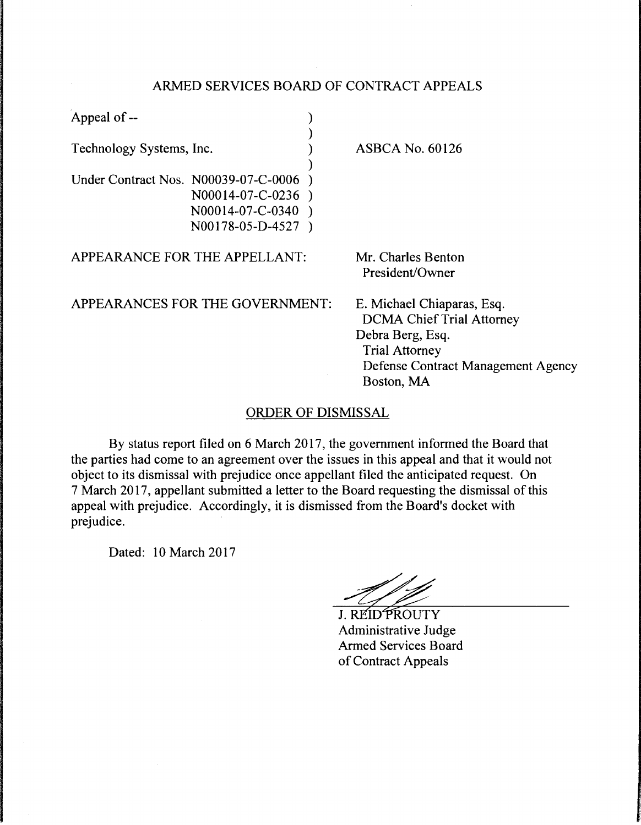## ARMED SERVICES BOARD OF CONTRACT APPEALS

| Appeal of --             |                                                                                                  |                                                                                                                                                                 |
|--------------------------|--------------------------------------------------------------------------------------------------|-----------------------------------------------------------------------------------------------------------------------------------------------------------------|
| Technology Systems, Inc. |                                                                                                  | <b>ASBCA No. 60126</b>                                                                                                                                          |
|                          | Under Contract Nos. N00039-07-C-0006<br>N00014-07-C-0236<br>N00014-07-C-0340<br>N00178-05-D-4527 |                                                                                                                                                                 |
|                          | APPEARANCE FOR THE APPELLANT:                                                                    | Mr. Charles Benton<br>President/Owner                                                                                                                           |
|                          | APPEARANCES FOR THE GOVERNMENT:                                                                  | E. Michael Chiaparas, Esq.<br><b>DCMA Chief Trial Attorney</b><br>Debra Berg, Esq.<br><b>Trial Attorney</b><br>Defense Contract Management Agency<br>Boston, MA |

## ORDER OF DISMISSAL

By status report filed on 6 March 2017, the government informed the Board that the parties had come to an agreement over the issues in this appeal and that it would not object to its dismissal with prejudice once appellant filed the anticipated request. On 7 March 2017, appellant submitted a letter to the Board requesting the dismissal of this appeal with prejudice. Accordingly, it is dismissed from the Board's docket with prejudice.

Dated: 10 March 2017

 $\bar{\lambda}$ 

J. REIDPROUTY<br>Administrative Judge Armed Services Board of Contract Appeals